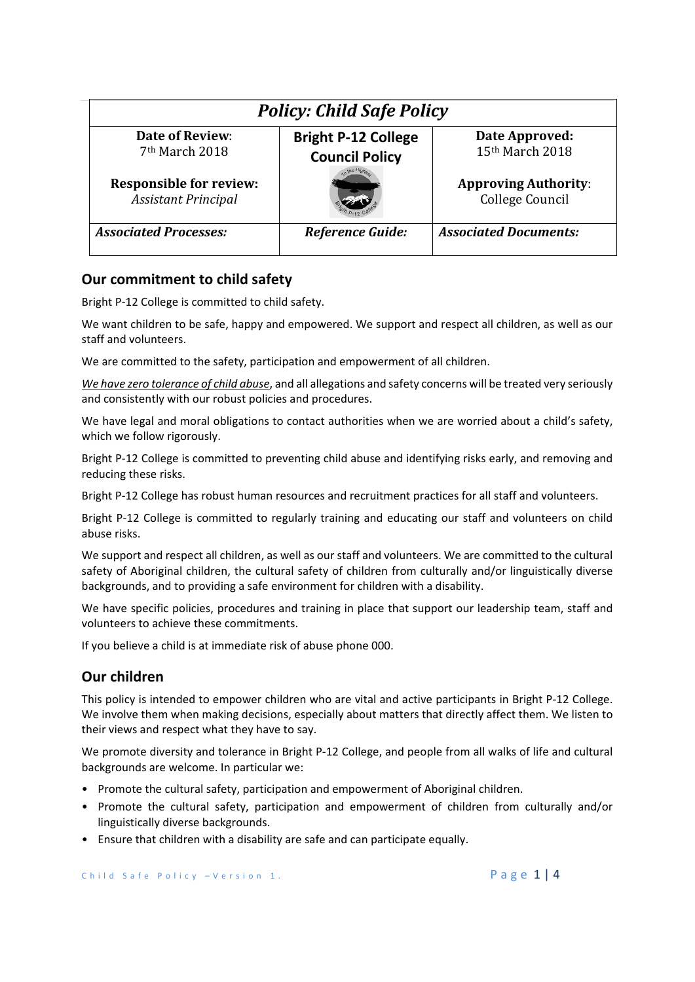| <b>Policy: Child Safe Policy</b> |                            |                              |
|----------------------------------|----------------------------|------------------------------|
| <b>Date of Review:</b>           | <b>Bright P-12 College</b> | Date Approved:               |
| 7 <sup>th</sup> March 2018       | <b>Council Policy</b>      | 15th March 2018              |
| <b>Responsible for review:</b>   |                            | <b>Approving Authority:</b>  |
| <b>Assistant Principal</b>       |                            | College Council              |
| <b>Associated Processes:</b>     | <b>Reference Guide:</b>    | <b>Associated Documents:</b> |

## **Our commitment to child safety**

Bright P‐12 College is committed to child safety.

We want children to be safe, happy and empowered. We support and respect all children, as well as our staff and volunteers.

We are committed to the safety, participation and empowerment of all children.

*We have zero tolerance of child abuse*, and all allegations and safety concerns will be treated very seriously and consistently with our robust policies and procedures.

We have legal and moral obligations to contact authorities when we are worried about a child's safety, which we follow rigorously.

Bright P‐12 College is committed to preventing child abuse and identifying risks early, and removing and reducing these risks.

Bright P‐12 College has robust human resources and recruitment practices for all staff and volunteers.

Bright P-12 College is committed to regularly training and educating our staff and volunteers on child abuse risks.

We support and respect all children, as well as our staff and volunteers. We are committed to the cultural safety of Aboriginal children, the cultural safety of children from culturally and/or linguistically diverse backgrounds, and to providing a safe environment for children with a disability.

We have specific policies, procedures and training in place that support our leadership team, staff and volunteers to achieve these commitments.

If you believe a child is at immediate risk of abuse phone 000.

## **Our children**

This policy is intended to empower children who are vital and active participants in Bright P‐12 College. We involve them when making decisions, especially about matters that directly affect them. We listen to their views and respect what they have to say.

We promote diversity and tolerance in Bright P-12 College, and people from all walks of life and cultural backgrounds are welcome. In particular we:

- Promote the cultural safety, participation and empowerment of Aboriginal children.
- Promote the cultural safety, participation and empowerment of children from culturally and/or linguistically diverse backgrounds.
- Ensure that children with a disability are safe and can participate equally.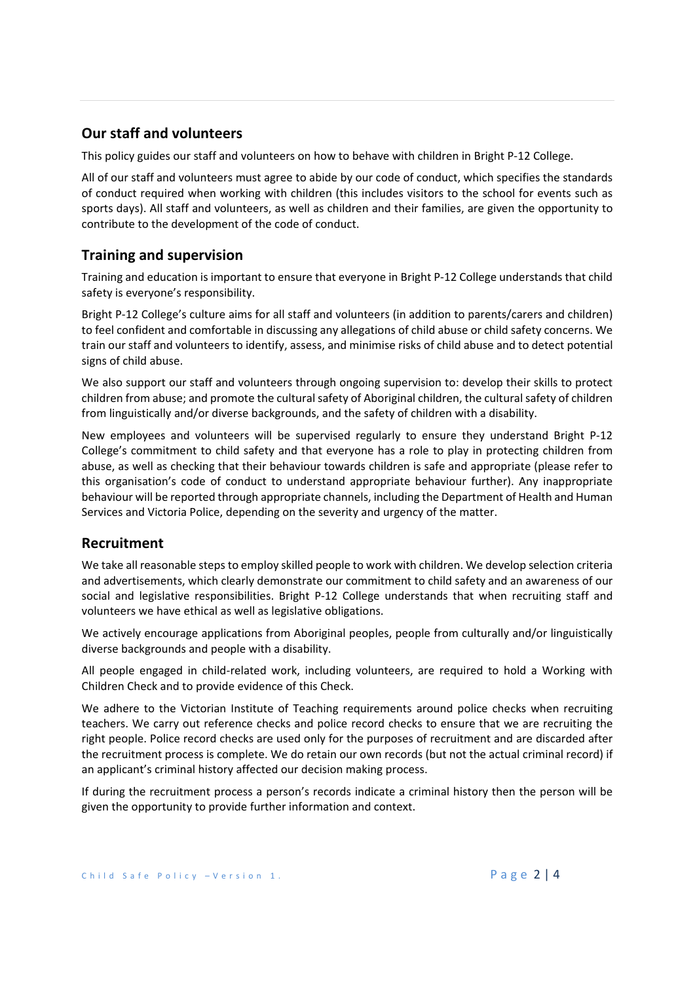# **Our staff and volunteers**

This policy guides our staff and volunteers on how to behave with children in Bright P‐12 College.

All of our staff and volunteers must agree to abide by our code of conduct, which specifies the standards of conduct required when working with children (this includes visitors to the school for events such as sports days). All staff and volunteers, as well as children and their families, are given the opportunity to contribute to the development of the code of conduct.

# **Training and supervision**

Training and education is important to ensure that everyone in Bright P‐12 College understands that child safety is everyone's responsibility.

Bright P‐12 College's culture aims for all staff and volunteers (in addition to parents/carers and children) to feel confident and comfortable in discussing any allegations of child abuse or child safety concerns. We train our staff and volunteers to identify, assess, and minimise risks of child abuse and to detect potential signs of child abuse.

We also support our staff and volunteers through ongoing supervision to: develop their skills to protect children from abuse; and promote the cultural safety of Aboriginal children, the cultural safety of children from linguistically and/or diverse backgrounds, and the safety of children with a disability.

New employees and volunteers will be supervised regularly to ensure they understand Bright P-12 College's commitment to child safety and that everyone has a role to play in protecting children from abuse, as well as checking that their behaviour towards children is safe and appropriate (please refer to this organisation's code of conduct to understand appropriate behaviour further). Any inappropriate behaviour will be reported through appropriate channels, including the Department of Health and Human Services and Victoria Police, depending on the severity and urgency of the matter.

## **Recruitment**

We take all reasonable steps to employ skilled people to work with children. We develop selection criteria and advertisements, which clearly demonstrate our commitment to child safety and an awareness of our social and legislative responsibilities. Bright P-12 College understands that when recruiting staff and volunteers we have ethical as well as legislative obligations.

We actively encourage applications from Aboriginal peoples, people from culturally and/or linguistically diverse backgrounds and people with a disability.

All people engaged in child-related work, including volunteers, are required to hold a Working with Children Check and to provide evidence of this Check.

We adhere to the Victorian Institute of Teaching requirements around police checks when recruiting teachers. We carry out reference checks and police record checks to ensure that we are recruiting the right people. Police record checks are used only for the purposes of recruitment and are discarded after the recruitment process is complete. We do retain our own records (but not the actual criminal record) if an applicant's criminal history affected our decision making process.

If during the recruitment process a person's records indicate a criminal history then the person will be given the opportunity to provide further information and context.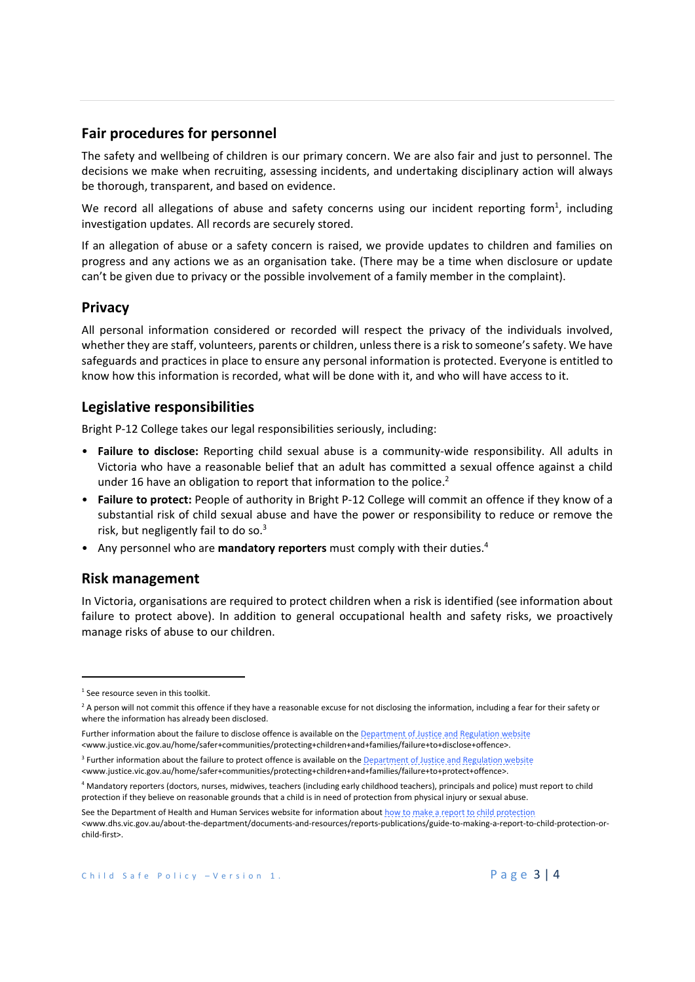### **Fair procedures for personnel**

The safety and wellbeing of children is our primary concern. We are also fair and just to personnel. The decisions we make when recruiting, assessing incidents, and undertaking disciplinary action will always be thorough, transparent, and based on evidence.

We record all allegations of abuse and safety concerns using our incident reporting form<sup>1</sup>, including investigation updates. All records are securely stored.

If an allegation of abuse or a safety concern is raised, we provide updates to children and families on progress and any actions we as an organisation take. (There may be a time when disclosure or update can't be given due to privacy or the possible involvement of a family member in the complaint).

#### **Privacy**

All personal information considered or recorded will respect the privacy of the individuals involved, whether they are staff, volunteers, parents or children, unless there is a risk to someone's safety. We have safeguards and practices in place to ensure any personal information is protected. Everyone is entitled to know how this information is recorded, what will be done with it, and who will have access to it.

#### **Legislative responsibilities**

Bright P‐12 College takes our legal responsibilities seriously, including:

- Failure to disclose: Reporting child sexual abuse is a community-wide responsibility. All adults in Victoria who have a reasonable belief that an adult has committed a sexual offence against a child under 16 have an obligation to report that information to the police.<sup>2</sup>
- **Failure to protect:** People of authority in Bright P‐12 College will commit an offence if they know of a substantial risk of child sexual abuse and have the power or responsibility to reduce or remove the risk, but negligently fail to do so.<sup>3</sup>
- Any personnel who are **mandatory reporters** must comply with their duties.4

#### **Risk management**

In Victoria, organisations are required to protect children when a risk is identified (see information about failure to protect above). In addition to general occupational health and safety risks, we proactively manage risks of abuse to our children.

<sup>&</sup>lt;sup>1</sup> See resource seven in this toolkit.

 $<sup>2</sup>$  A person will not commit this offence if they have a reasonable excuse for not disclosing the information, including a fear for their safety or</sup> where the information has already been disclosed.

Further information about the failure to disclose offence is available on the **Department of Justice and Regulation website** <www.justice.vic.gov.au/home/safer+communities/protecting+children+and+families/failure+to+disclose+offence>.

<sup>&</sup>lt;sup>3</sup> Further information about the failure to protect offence is available on the Department of Justice and Regulation website <www.justice.vic.gov.au/home/safer+communities/protecting+children+and+families/failure+to+protect+offence>.

<sup>4</sup> Mandatory reporters (doctors, nurses, midwives, teachers (including early childhood teachers), principals and police) must report to child protection if they believe on reasonable grounds that a child is in need of protection from physical injury or sexual abuse.

See the Department of Health and Human Services website for information about how to make a report to child protection <www.dhs.vic.gov.au/about‐the‐department/documents‐and‐resources/reports‐publications/guide‐to‐making‐a‐report‐to‐child‐protection‐or‐ child‐first>.